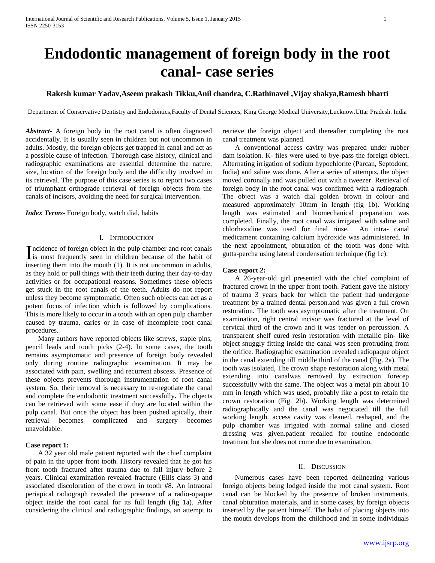# **Endodontic management of foreign body in the root canal- case series**

# **Rakesh kumar Yadav,Aseem prakash Tikku,Anil chandra, C.Rathinavel ,Vijay shakya,Ramesh bharti**

Department of Conservative Dentistry and Endodontics,Faculty of Dental Sciences, King George Medical University,Lucknow.Uttar Pradesh. India

*Abstract***-** A foreign body in the root canal is often diagnosed accidentally. It is usually seen in children but not uncommon in adults. Mostly, the foreign objects get trapped in canal and act as a possible cause of infection. Thorough case history, clinical and radiographic examinations are essential determine the nature, size, location of the foreign body and the difficulty involved in its retrieval. The purpose of this case series is to report two cases of triumphant orthograde retrieval of foreign objects from the canals of incisors, avoiding the need for surgical intervention.

*Index Terms*- Foreign body, watch dial, habits

## I. INTRODUCTION

ncidence of foreign object in the pulp chamber and root canals Incidence of foreign object in the pulp chamber and root canals<br>is most frequently seen in children because of the habit of inserting them into the mouth (1). It is not uncommon in adults, as they hold or pull things with their teeth during their day-to-day activities or for occupational reasons. Sometimes these objects get stuck in the root canals of the teeth. Adults do not report unless they become symptomatic. Often such objects can act as a potent focus of infection which is followed by complications. This is more likely to occur in a tooth with an open pulp chamber caused by trauma, caries or in case of incomplete root canal procedures.

 Many authors have reported objects like screws, staple pins, pencil leads and tooth picks (2-4). In some cases, the tooth remains asymptomatic and presence of foreign body revealed only during routine radiographic examination. It may be associated with pain, swelling and recurrent abscess. Presence of these objects prevents thorough instrumentation of root canal system. So, their removal is necessary to re-negotiate the canal and complete the endodontic treatment successfully**.** The objects can be retrieved with some ease if they are located within the pulp canal. But once the object has been pushed apically, their retrieval becomes complicated and surgery becomes unavoidable.

#### **Case report 1:**

 A 32 year old male patient reported with the chief complaint of pain in the upper front tooth. History revealed that he got his front tooth fractured after trauma due to fall injury before 2 years. Clinical examination revealed fracture (Ellis class 3) and associated discoloration of the crown in tooth #8. An intraoral periapical radiograph revealed the presence of a radio-opaque object inside the root canal for its full length (fig 1a). After considering the clinical and radiographic findings, an attempt to

retrieve the foreign object and thereafter completing the root canal treatment was planned.

 A conventional access cavity was prepared under rubber dam isolation. K- files were used to bye-pass the foreign object. Alternating irrigation of sodium hypochlorite (Parcan, Septodont, India) and saline was done. After a series of attempts, the object moved coronally and was pulled out with a tweezer. Retrieval of foreign body in the root canal was confirmed with a radiograph. The object was a watch dial golden brown in colour and measured approximately 10mm in length (fig 1b). Working length was estimated and biomechanical preparation was completed. Finally, the root canal was irrigated with saline and chlorhexidine was used for final rinse. An intra- canal medicament containing calcium hydroxide was administered. In the next appointment, obturation of the tooth was done with gutta-percha using lateral condensation technique (fig 1c).

#### **Case report 2:**

 A 26-year-old girl presented with the chief complaint of fractured crown in the upper front tooth. Patient gave the history of trauma 3 years back for which the patient had undergone treatment by a trained dental person.and was given a full crown restoration. The tooth was asymptomatic after the treatment. On examination, right central incisor was fractured at the level of cervical third of the crown and it was tender on percussion. A transparent shelf cured resin restoration with metallic pin- like object snuggly fitting inside the canal was seen protruding from the orifice. Radiographic examination revealed radiopaque object in the canal extending till middle third of the canal (Fig. 2a). The tooth was isolated, The crown shape restoration along with metal extending into canalwas removed by extraction forecep successfully with the same. The object was a metal pin about 10 mm in length which was used, probably like a post to retain the crown restoration (Fig. 2b). Working length was determined radiographically and the canal was negotiated till the full working length. access cavity was cleaned, reshaped, and the pulp chamber was irrigated with normal saline and closed dressing was given.patient recalled for routine endodontic treatment but she does not come due to examination.

#### II. DISCUSSION

 Numerous cases have been reported delineating various foreign objects being lodged inside the root canal system. Root canal can be blocked by the presence of broken instruments, canal obturation materials, and in some cases, by foreign objects inserted by the patient himself. The habit of placing objects into the mouth develops from the childhood and in some individuals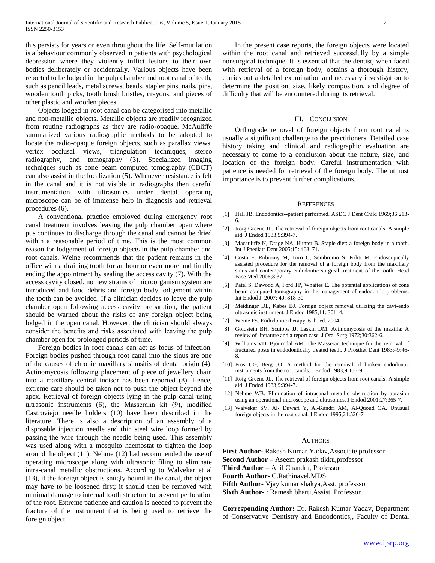this persists for years or even throughout the life. Self-mutilation is a behaviour commonly observed in patients with psychological depression where they violently inflict lesions to their own bodies deliberately or accidentally. Various objects have been reported to be lodged in the pulp chamber and root canal of teeth, such as pencil leads, metal screws, beads, stapler pins, nails, pins, wooden tooth picks, tooth brush bristles, crayons, and pieces of other plastic and wooden pieces.

 Objects lodged in root canal can be categorised into metallic and non-metallic objects. Metallic objects are readily recognized from routine radiographs as they are radio-opaque. McAuliffe summarized various radiographic methods to be adopted to locate the radio-opaque foreign objects, such as parallax views, vertex occlusal views, triangulation techniques, stereo radiography, and tomography (3). Specialized imaging techniques such as cone beam computed tomography (CBCT) can also assist in the localization (5). Whenever resistance is felt in the canal and it is not visible in radiographs then careful instrumentation with ultrasonics under dental operating microscope can be of immense help in diagnosis and retrieval procedures (6).

 A conventional practice employed during emergency root canal treatment involves leaving the pulp chamber open where pus continues to discharge through the canal and cannot be dried within a reasonable period of time. This is the most common reason for lodgement of foreign objects in the pulp chamber and root canals. Weine recommends that the patient remains in the office with a draining tooth for an hour or even more and finally ending the appointment by sealing the access cavity (7). With the access cavity closed, no new strains of microorganism system are introduced and food debris and foreign body lodgement within the tooth can be avoided. If a clinician decides to leave the pulp chamber open following access cavity preparation, the patient should be warned about the risks of any foreign object being lodged in the open canal. However, the clinician should always consider the benefits and risks associated with leaving the pulp chamber open for prolonged periods of time.

 Foreign bodies in root canals can act as focus of infection. Foreign bodies pushed through root canal into the sinus are one of the causes of chronic maxillary sinusitis of dental origin (4). Actinomycosis following placement of piece of jewellery chain into a maxillary central incisor has been reported (8). Hence, extreme care should be taken not to push the object beyond the apex. Retrieval of foreign objects lying in the pulp canal using ultrasonic instruments (6), the Masserann kit (9), modified Castroviejo needle holders (10) have been described in the literature. There is also a description of an assembly of a disposable injection needle and thin steel wire loop formed by passing the wire through the needle being used. This assembly was used along with a mosquito haemostat to tighten the loop around the object (11). Nehme (12) had recommended the use of operating microscope along with ultrasonic filing to eliminate intra-canal metallic obstructions. According to Walvekar et al (13), if the foreign object is snugly bound in the canal, the object may have to be loosened first; it should then be removed with minimal damage to internal tooth structure to prevent perforation of the root. Extreme patience and caution is needed to prevent the fracture of the instrument that is being used to retrieve the foreign object.

 In the present case reports, the foreign objects were located within the root canal and retrieved successfully by a simple nonsurgical technique. It is essential that the dentist, when faced with retrieval of a foreign body, obtains a thorough history, carries out a detailed examination and necessary investigation to determine the position, size, likely composition, and degree of difficulty that will be encountered during its retrieval.

### III. CONCLUSION

 Orthograde removal of foreign objects from root canal is usually a significant challenge to the practitioners. Detailed case history taking and clinical and radiographic evaluation are necessary to come to a conclusion about the nature, size, and location of the foreign body. Careful instrumentation with patience is needed for retrieval of the foreign body. The utmost importance is to prevent further complications.

#### **REFERENCES**

- [1] Hall JB. Endodontics--patient performed. ASDC J Dent Child 1969;36:213-6.
- [2] Roig-Greene JL. The retrieval of foreign objects from root canals: A simple aid. J Endod 1983;9:394-7.
- [3] Macauliffe N, Drage NA, Hunter B. Staple diet: a foreign body in a tooth. Int J Paediatr Dent 2005;15: 468–71.
- [4] Costa F, Robiomy M, Toro C, Sembronio S, Politi M. Endoscopically assisted procedure for the removal of a foreign body from the maxillary sinus and contemporary endodontic surgical treatment of the tooth. Head Face Med 2006;8:37.
- [5] Patel S, Dawood A, Ford TP, Whaites E. The potential applications of cone beam computed tomography in the management of endodontic problems. Int Endod J. 2007; 40: 818-30.
- [6] Meidinger DL, Kabes BJ. Foreign object removal utilizing the cavi-endo ultrasonic instrument. J Endod 1985;11: 301–4.
- [7] Weine FS. Endodontic therapy. 6 th ed. 2004.
- [8] Goldstein BH, Scuibba JJ, Laskin DM. Actinomycosis of the maxilla: A review of literature and a report case. J Oral Surg 1972;30:362-6.
- [9] Williams VD, Bjourndal AM. The Masseran technique for the removal of fractured posts in endodontically treated teeth. J Prosthet Dent 1983;49:46- 8.
- [10] Fros UG, Berg JO. A method for the removal of broken endodontic instruments from the root canals. J Endod 1983;9:156-9.
- [11] Roig-Greene JL. The retrieval of foreign objects from root canals: A simple aid. J Endod 1983;9:394-7.
- [12] Nehme WB. Elimination of intracanal metallic obstruction by abrasion using an operational microscope and ultrasonics. J Endod 2001;27:365-7.
- [13] Walvekar SV, Al- Duwari Y, Al-Kandri AM, Al-Quoud OA. Unusual foreign objects in the root canal. J Endod 1995;21:526-7

#### AUTHORS

**First Author-** Rakesh Kumar Yadav,Associate professor

- **Second Author –** Aseem prakash tikku,professor
- **Third Author –** Anil Chandra, Professor
- **Fourth Author-** C.Rathinavel,MDS
- **Fifth Author-** Vjay kumar shakya,Asst. professsor

**Sixth Author-** : Ramesh bharti,Assist. Professor

**Corresponding Author:** Dr. Rakesh Kumar Yadav, Department of Conservative Dentistry and Endodontics,, Faculty of Dental